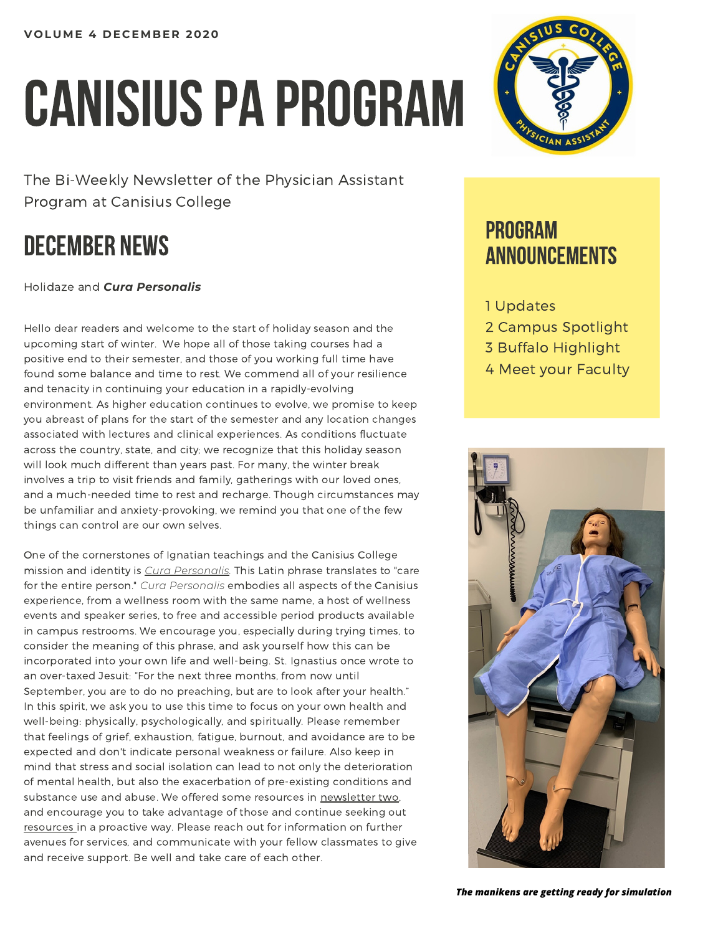# CANISIUS PA PROGRAM

The Bi-Weekly Newsletter of the Physician Assistant Program at Canisius College

## DECEMBER NEWS

Holidaze and *Cura Personalis*

Hello dear readers and welcome to the start of holiday season and the upcoming start of winter. We hope all of those taking courses had a positive end to their semester, and those of you working full time have found some balance and time to rest. We commend all of your resilience and tenacity in continuing your education in a rapidly-evolving environment. As higher education continues to evolve, we promise to keep you abreast of plans for the start of the semester and any location changes associated with lectures and clinical experiences. As conditions fluctuate across the country, state, and city; we recognize that this holiday season will look much different than years past. For many, the winter break involves a trip to visit friends and family, gatherings with our loved ones, and a much-needed time to rest and recharge. Though circumstances may be unfamiliar and anxiety-provoking, we remind you that one of the few things can control are our own selves.

One of the cornerstones of Ignatian teachings and the Canisius College mission and identity is *Cura [Personalis](https://www.youtube.com/watch?v=M0K4qy9L8mM).* This Latin phrase translates to "care for the entire person." *Cura Personalis* embodies all aspects of the Canisius experience, from a wellness room with the same name, a host of wellness events and speaker series, to free and accessible period products available in campus restrooms. We encourage you, especially during trying times, to consider the meaning of this phrase, and ask yourself how this can be incorporated into your own life and well-being. St. Ignastius once wrote to an over-taxed Jesuit: "For the next three months, from now until September, you are to do no preaching, but are to look after your health." In this spirit, we ask you to use this time to focus on your own health and well-being: physically, psychologically, and spiritually. Please remember that feelings of grief, exhaustion, fatigue, burnout, and avoidance are to be expected and don't indicate personal weakness or failure. Also keep in mind that stress and social isolation can lead to not only the deterioration of mental health, but also the exacerbation of pre-existing conditions and substance use and abuse. We offered some resources in [newsletter](https://www.canisius.edu/sites/default/files/%2A/pa_newsletter_2_11-18-20.pdf) two, and encourage you to take advantage of those and continue seeking out [resources](https://mhanational.org/covid19) in a proactive way. Please reach out for information on further avenues for services, and communicate with your fellow classmates to give and receive support. Be well and take care of each other.



## PROGRAM ANNOUNCEMENTS

#### 1 Updates

- 2 Campus Spotlight
- 3 Buffalo Highlight
- 4 Meet your Faculty



*The manikens are getting ready for simulation*